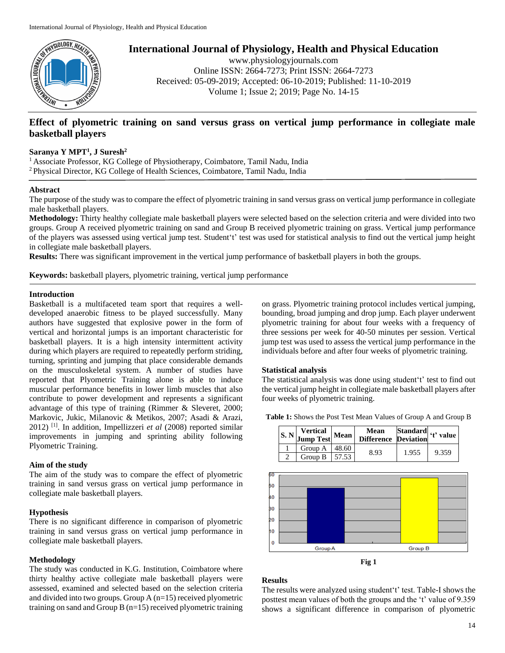

**International Journal of Physiology, Health and Physical Education**

www.physiologyjournals.com Online ISSN: 2664-7273; Print ISSN: 2664-7273 Received: 05-09-2019; Accepted: 06-10-2019; Published: 11-10-2019 Volume 1; Issue 2; 2019; Page No. 14-15

# **Effect of plyometric training on sand versus grass on vertical jump performance in collegiate male basketball players**

## **Saranya Y MPT<sup>1</sup> , J Suresh<sup>2</sup>**

<sup>1</sup> Associate Professor, KG College of Physiotherapy, Coimbatore, Tamil Nadu, India <sup>2</sup>Physical Director, KG College of Health Sciences, Coimbatore, Tamil Nadu, India

### **Abstract**

The purpose of the study was to compare the effect of plyometric training in sand versus grass on vertical jump performance in collegiate male basketball players.

**Methodology:** Thirty healthy collegiate male basketball players were selected based on the selection criteria and were divided into two groups. Group A received plyometric training on sand and Group B received plyometric training on grass. Vertical jump performance of the players was assessed using vertical jump test. Student't' test was used for statistical analysis to find out the vertical jump height in collegiate male basketball players.

**Results:** There was significant improvement in the vertical jump performance of basketball players in both the groups.

**Keywords:** basketball players, plyometric training, vertical jump performance

#### **Introduction**

Basketball is a multifaceted team sport that requires a welldeveloped anaerobic fitness to be played successfully. Many authors have suggested that explosive power in the form of vertical and horizontal jumps is an important characteristic for basketball players. It is a high intensity intermittent activity during which players are required to repeatedly perform striding, turning, sprinting and jumping that place considerable demands on the musculoskeletal system. A number of studies have reported that Plyometric Training alone is able to induce muscular performance benefits in lower limb muscles that also contribute to power development and represents a significant advantage of this type of training (Rimmer & Sleveret, 2000; Markovic, Jukic, Milanovic & Metikos, 2007; Asadi & Arazi, 2012) [1]. In addition, Impellizzeri *et al* (2008) reported similar improvements in jumping and sprinting ability following Plyometric Training.

#### **Aim of the study**

The aim of the study was to compare the effect of plyometric training in sand versus grass on vertical jump performance in collegiate male basketball players.

### **Hypothesis**

There is no significant difference in comparison of plyometric training in sand versus grass on vertical jump performance in collegiate male basketball players.

## **Methodology**

The study was conducted in K.G. Institution, Coimbatore where thirty healthy active collegiate male basketball players were assessed, examined and selected based on the selection criteria and divided into two groups. Group A (n=15) received plyometric training on sand and Group B (n=15) received plyometric training

on grass. Plyometric training protocol includes vertical jumping, bounding, broad jumping and drop jump. Each player underwent plyometric training for about four weeks with a frequency of three sessions per week for 40-50 minutes per session. Vertical jump test was used to assess the vertical jump performance in the individuals before and after four weeks of plyometric training.

#### **Statistical analysis**

The statistical analysis was done using student't' test to find out the vertical jump height in collegiate male basketball players after four weeks of plyometric training.

**Table 1:** Shows the Post Test Mean Values of Group A and Group B

| $\left  \text{S. N} \right $ Vertical Mean |  | Mean Standard (t) value |       |       |
|--------------------------------------------|--|-------------------------|-------|-------|
| Group A   $48.60$                          |  | 8.93                    | 1.955 | 9.359 |
| Group B $\vert$ 57.53                      |  |                         |       |       |



**Fig 1**

## **Results**

The results were analyzed using student't' test. Table-I shows the posttest mean values of both the groups and the 't' value of 9.359 shows a significant difference in comparison of plyometric